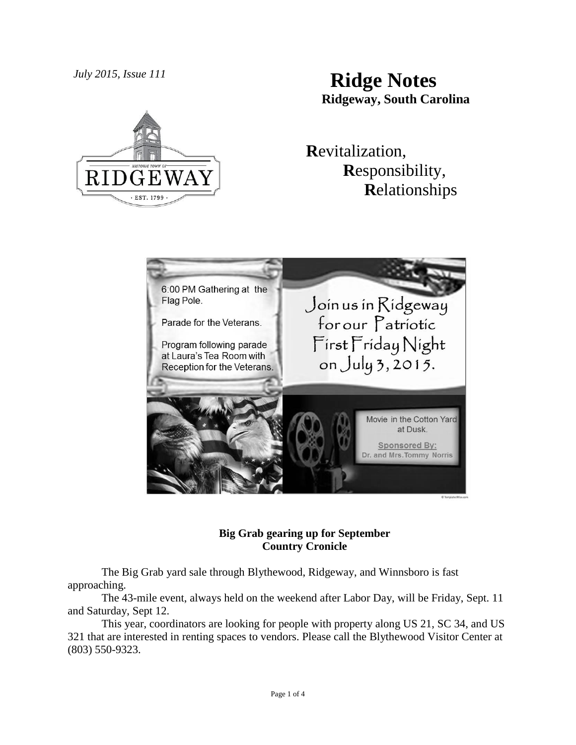# *July 2015, Issue 111* **Ridge Notes Ridgeway, South Carolina**



## **R**evitalization,  **R**esponsibility,  **R**elationships



### **Big Grab gearing up for September Country Cronicle**

The Big Grab yard sale through Blythewood, Ridgeway, and Winnsboro is fast approaching.

The 43-mile event, always held on the weekend after Labor Day, will be Friday, Sept. 11 and Saturday, Sept 12.

This year, coordinators are looking for people with property along US 21, SC 34, and US 321 that are interested in renting spaces to vendors. Please call the Blythewood Visitor Center at (803) 550-9323.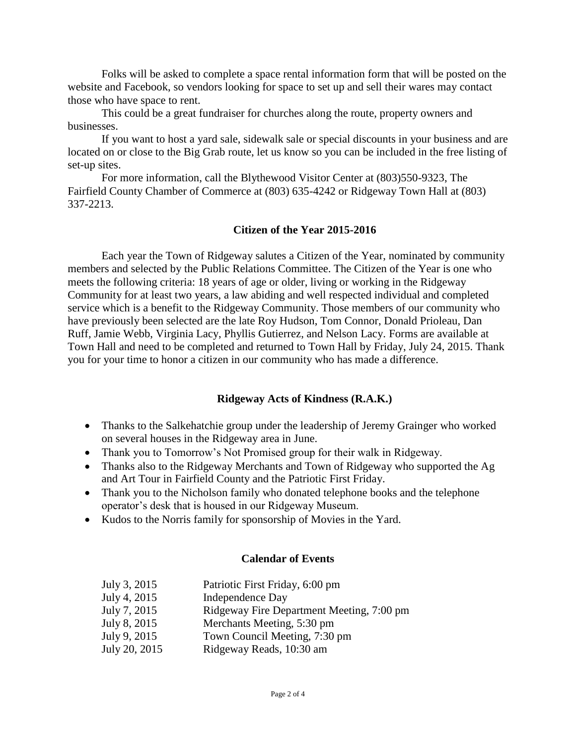Folks will be asked to complete a space rental information form that will be posted on the website and Facebook, so vendors looking for space to set up and sell their wares may contact those who have space to rent.

This could be a great fundraiser for churches along the route, property owners and businesses.

If you want to host a yard sale, sidewalk sale or special discounts in your business and are located on or close to the Big Grab route, let us know so you can be included in the free listing of set-up sites.

For more information, call the Blythewood Visitor Center at (803)550-9323, The Fairfield County Chamber of Commerce at (803) 635-4242 or Ridgeway Town Hall at (803) 337-2213.

#### **Citizen of the Year 2015-2016**

Each year the Town of Ridgeway salutes a Citizen of the Year, nominated by community members and selected by the Public Relations Committee. The Citizen of the Year is one who meets the following criteria: 18 years of age or older, living or working in the Ridgeway Community for at least two years, a law abiding and well respected individual and completed service which is a benefit to the Ridgeway Community. Those members of our community who have previously been selected are the late Roy Hudson, Tom Connor, Donald Prioleau, Dan Ruff, Jamie Webb, Virginia Lacy, Phyllis Gutierrez, and Nelson Lacy. Forms are available at Town Hall and need to be completed and returned to Town Hall by Friday, July 24, 2015. Thank you for your time to honor a citizen in our community who has made a difference.

### **Ridgeway Acts of Kindness (R.A.K.)**

- Thanks to the Salkehatchie group under the leadership of Jeremy Grainger who worked on several houses in the Ridgeway area in June.
- Thank you to Tomorrow's Not Promised group for their walk in Ridgeway.
- Thanks also to the Ridgeway Merchants and Town of Ridgeway who supported the Ag and Art Tour in Fairfield County and the Patriotic First Friday.
- Thank you to the Nicholson family who donated telephone books and the telephone operator's desk that is housed in our Ridgeway Museum.
- Kudos to the Norris family for sponsorship of Movies in the Yard.

#### **Calendar of Events**

| July 3, 2015  | Patriotic First Friday, 6:00 pm           |
|---------------|-------------------------------------------|
| July 4, 2015  | Independence Day                          |
| July 7, 2015  | Ridgeway Fire Department Meeting, 7:00 pm |
| July 8, 2015  | Merchants Meeting, 5:30 pm                |
| July 9, 2015  | Town Council Meeting, 7:30 pm             |
| July 20, 2015 | Ridgeway Reads, 10:30 am                  |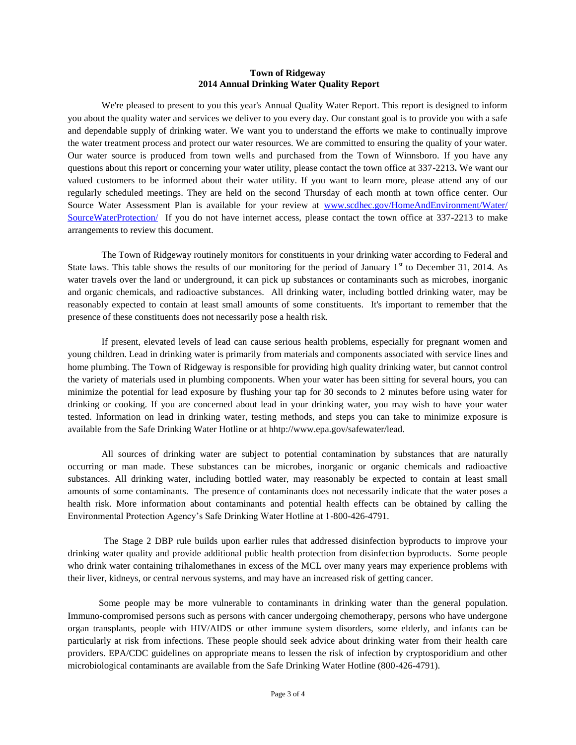#### **Town of Ridgeway 2014 Annual Drinking Water Quality Report**

We're pleased to present to you this year's Annual Quality Water Report. This report is designed to inform you about the quality water and services we deliver to you every day. Our constant goal is to provide you with a safe and dependable supply of drinking water. We want you to understand the efforts we make to continually improve the water treatment process and protect our water resources. We are committed to ensuring the quality of your water. Our water source is produced from town wells and purchased from the Town of Winnsboro. If you have any questions about this report or concerning your water utility, please contact the town office at 337-2213**.** We want our valued customers to be informed about their water utility. If you want to learn more, please attend any of our regularly scheduled meetings. They are held on the second Thursday of each month at town office center. Our Source Water Assessment Plan is available for your review at [www.scdhec.gov/HomeAndEnvironment/Water/](http://www.scdhec.gov/HomeAndEnvironment/Water/%20SourceWaterProtection/)  [SourceWaterProtection/](http://www.scdhec.gov/HomeAndEnvironment/Water/%20SourceWaterProtection/) If you do not have internet access, please contact the town office at 337-2213 to make arrangements to review this document.

The Town of Ridgeway routinely monitors for constituents in your drinking water according to Federal and State laws. This table shows the results of our monitoring for the period of January  $1<sup>st</sup>$  to December 31, 2014. As water travels over the land or underground, it can pick up substances or contaminants such as microbes, inorganic and organic chemicals, and radioactive substances. All drinking water, including bottled drinking water, may be reasonably expected to contain at least small amounts of some constituents. It's important to remember that the presence of these constituents does not necessarily pose a health risk.

If present, elevated levels of lead can cause serious health problems, especially for pregnant women and young children. Lead in drinking water is primarily from materials and components associated with service lines and home plumbing. The Town of Ridgeway is responsible for providing high quality drinking water, but cannot control the variety of materials used in plumbing components. When your water has been sitting for several hours, you can minimize the potential for lead exposure by flushing your tap for 30 seconds to 2 minutes before using water for drinking or cooking. If you are concerned about lead in your drinking water, you may wish to have your water tested. Information on lead in drinking water, testing methods, and steps you can take to minimize exposure is available from the Safe Drinking Water Hotline or at hhtp://www.epa.gov/safewater/lead.

All sources of drinking water are subject to potential contamination by substances that are naturally occurring or man made. These substances can be microbes, inorganic or organic chemicals and radioactive substances. All drinking water, including bottled water, may reasonably be expected to contain at least small amounts of some contaminants. The presence of contaminants does not necessarily indicate that the water poses a health risk. More information about contaminants and potential health effects can be obtained by calling the Environmental Protection Agency's Safe Drinking Water Hotline at 1-800-426-4791.

The Stage 2 DBP rule builds upon earlier rules that addressed disinfection byproducts to improve your drinking water quality and provide additional public health protection from disinfection byproducts. Some people who drink water containing trihalomethanes in excess of the MCL over many years may experience problems with their liver, kidneys, or central nervous systems, and may have an increased risk of getting cancer.

 Some people may be more vulnerable to contaminants in drinking water than the general population. Immuno-compromised persons such as persons with cancer undergoing chemotherapy, persons who have undergone organ transplants, people with HIV/AIDS or other immune system disorders, some elderly, and infants can be particularly at risk from infections. These people should seek advice about drinking water from their health care providers. EPA/CDC guidelines on appropriate means to lessen the risk of infection by cryptosporidium and other microbiological contaminants are available from the Safe Drinking Water Hotline (800-426-4791).